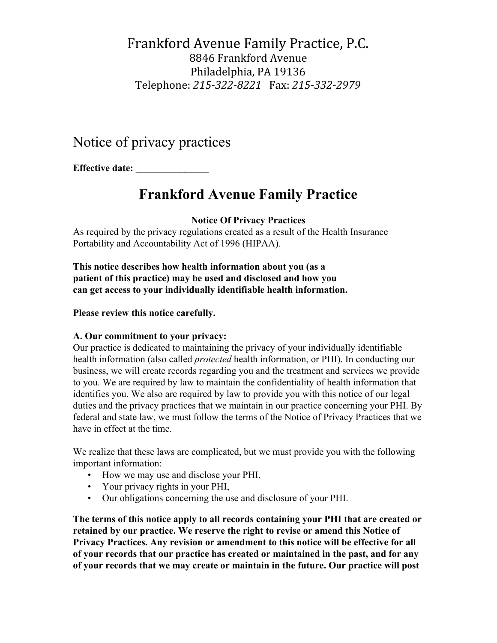# Notice of privacy practices

**Effective date: \_\_\_\_\_\_\_\_\_\_\_\_\_\_\_**

# **Frankford Avenue Family Practice**

#### **Notice Of Privacy Practices**

As required by the privacy regulations created as a result of the Health Insurance Portability and Accountability Act of 1996 (HIPAA).

**This notice describes how health information about you (as a patient of this practice) may be used and disclosed and how you can get access to your individually identifiable health information.**

#### **Please review this notice carefully.**

#### **A. Our commitment to your privacy:**

Our practice is dedicated to maintaining the privacy of your individually identifiable health information (also called *protected* health information, or PHI). In conducting our business, we will create records regarding you and the treatment and services we provide to you. We are required by law to maintain the confidentiality of health information that identifies you. We also are required by law to provide you with this notice of our legal duties and the privacy practices that we maintain in our practice concerning your PHI. By federal and state law, we must follow the terms of the Notice of Privacy Practices that we have in effect at the time.

We realize that these laws are complicated, but we must provide you with the following important information:

- How we may use and disclose your PHI,
- Your privacy rights in your PHI,
- Our obligations concerning the use and disclosure of your PHI.

**The terms of this notice apply to all records containing your PHI that are created or retained by our practice. We reserve the right to revise or amend this Notice of Privacy Practices. Any revision or amendment to this notice will be effective for all of your records that our practice has created or maintained in the past, and for any of your records that we may create or maintain in the future. Our practice will post**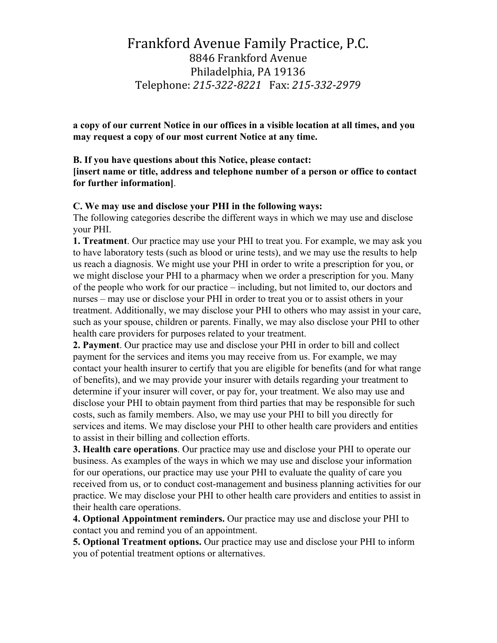**a copy of our current Notice in our offices in a visible location at all times, and you may request a copy of our most current Notice at any time.**

#### **B. If you have questions about this Notice, please contact: [insert name or title, address and telephone number of a person or office to contact for further information]**.

#### **C. We may use and disclose your PHI in the following ways:**

The following categories describe the different ways in which we may use and disclose your PHI.

**1. Treatment**. Our practice may use your PHI to treat you. For example, we may ask you to have laboratory tests (such as blood or urine tests), and we may use the results to help us reach a diagnosis. We might use your PHI in order to write a prescription for you, or we might disclose your PHI to a pharmacy when we order a prescription for you. Many of the people who work for our practice – including, but not limited to, our doctors and nurses – may use or disclose your PHI in order to treat you or to assist others in your treatment. Additionally, we may disclose your PHI to others who may assist in your care, such as your spouse, children or parents. Finally, we may also disclose your PHI to other health care providers for purposes related to your treatment.

**2. Payment**. Our practice may use and disclose your PHI in order to bill and collect payment for the services and items you may receive from us. For example, we may contact your health insurer to certify that you are eligible for benefits (and for what range of benefits), and we may provide your insurer with details regarding your treatment to determine if your insurer will cover, or pay for, your treatment. We also may use and disclose your PHI to obtain payment from third parties that may be responsible for such costs, such as family members. Also, we may use your PHI to bill you directly for services and items. We may disclose your PHI to other health care providers and entities to assist in their billing and collection efforts.

**3. Health care operations**. Our practice may use and disclose your PHI to operate our business. As examples of the ways in which we may use and disclose your information for our operations, our practice may use your PHI to evaluate the quality of care you received from us, or to conduct cost-management and business planning activities for our practice. We may disclose your PHI to other health care providers and entities to assist in their health care operations.

**4. Optional Appointment reminders.**Our practice may use and disclose your PHI to contact you and remind you of an appointment.

**5. Optional Treatment options.** Our practice may use and disclose your PHI to inform you of potential treatment options or alternatives.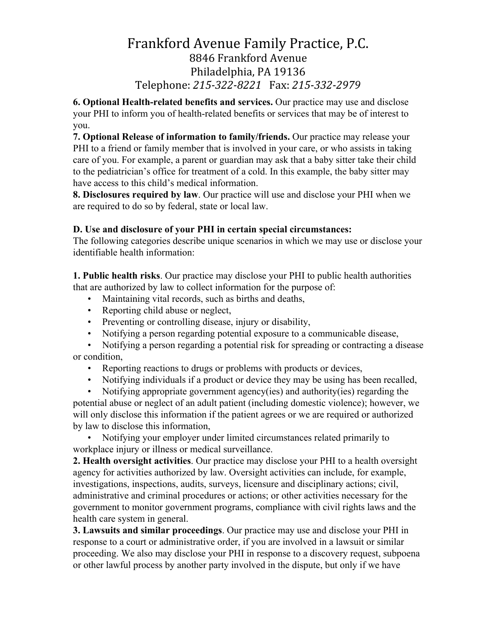**6. Optional Health-related benefits and services.** Our practice may use and disclose your PHI to inform you of health-related benefits or services that may be of interest to you.

**7. Optional Release of information to family/friends.** Our practice may release your PHI to a friend or family member that is involved in your care, or who assists in taking care of you. For example, a parent or guardian may ask that a baby sitter take their child to the pediatrician's office for treatment of a cold. In this example, the baby sitter may have access to this child's medical information.

**8. Disclosures required by law**. Our practice will use and disclose your PHI when we are required to do so by federal, state or local law.

#### **D. Use and disclosure of your PHI in certain special circumstances:**

The following categories describe unique scenarios in which we may use or disclose your identifiable health information:

**1. Public health risks**. Our practice may disclose your PHI to public health authorities that are authorized by law to collect information for the purpose of:

- Maintaining vital records, such as births and deaths,
- Reporting child abuse or neglect,
- Preventing or controlling disease, injury or disability,
- Notifying a person regarding potential exposure to a communicable disease,

• Notifying a person regarding a potential risk for spreading or contracting a disease or condition,

- Reporting reactions to drugs or problems with products or devices,
- Notifying individuals if a product or device they may be using has been recalled,

• Notifying appropriate government agency(ies) and authority(ies) regarding the potential abuse or neglect of an adult patient (including domestic violence); however, we will only disclose this information if the patient agrees or we are required or authorized by law to disclose this information,

• Notifying your employer under limited circumstances related primarily to workplace injury or illness or medical surveillance.

**2. Health oversight activities**. Our practice may disclose your PHI to a health oversight agency for activities authorized by law. Oversight activities can include, for example, investigations, inspections, audits, surveys, licensure and disciplinary actions; civil, administrative and criminal procedures or actions; or other activities necessary for the government to monitor government programs, compliance with civil rights laws and the health care system in general.

**3. Lawsuits and similar proceedings**. Our practice may use and disclose your PHI in response to a court or administrative order, if you are involved in a lawsuit or similar proceeding. We also may disclose your PHI in response to a discovery request, subpoena or other lawful process by another party involved in the dispute, but only if we have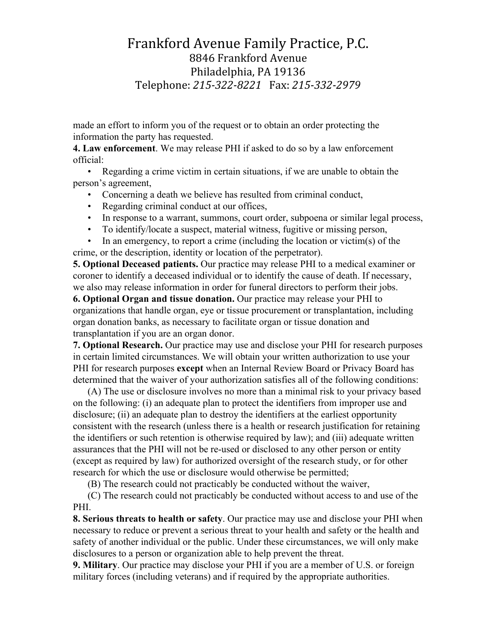made an effort to inform you of the request or to obtain an order protecting the information the party has requested.

**4. Law enforcement**. We may release PHI if asked to do so by a law enforcement official:

• Regarding a crime victim in certain situations, if we are unable to obtain the person's agreement,

- Concerning a death we believe has resulted from criminal conduct,
- Regarding criminal conduct at our offices,
- In response to a warrant, summons, court order, subpoena or similar legal process,
- To identify/locate a suspect, material witness, fugitive or missing person,
- In an emergency, to report a crime (including the location or victim(s) of the

crime, or the description, identity or location of the perpetrator).

**5. Optional Deceased patients.** Our practice may release PHI to a medical examiner or coroner to identify a deceased individual or to identify the cause of death. If necessary, we also may release information in order for funeral directors to perform their jobs.

**6. Optional Organ and tissue donation.** Our practice may release your PHI to organizations that handle organ, eye or tissue procurement or transplantation, including organ donation banks, as necessary to facilitate organ or tissue donation and transplantation if you are an organ donor.

**7. Optional Research.** Our practice may use and disclose your PHI for research purposes in certain limited circumstances. We will obtain your written authorization to use your PHI for research purposes **except** when an Internal Review Board or Privacy Board has determined that the waiver of your authorization satisfies all of the following conditions:

(A) The use or disclosure involves no more than a minimal risk to your privacy based on the following: (i) an adequate plan to protect the identifiers from improper use and disclosure; (ii) an adequate plan to destroy the identifiers at the earliest opportunity consistent with the research (unless there is a health or research justification for retaining the identifiers or such retention is otherwise required by law); and (iii) adequate written assurances that the PHI will not be re-used or disclosed to any other person or entity (except as required by law) for authorized oversight of the research study, or for other research for which the use or disclosure would otherwise be permitted;

(B) The research could not practicably be conducted without the waiver,

(C) The research could not practicably be conducted without access to and use of the PHI.

**8. Serious threats to health or safety**. Our practice may use and disclose your PHI when necessary to reduce or prevent a serious threat to your health and safety or the health and safety of another individual or the public. Under these circumstances, we will only make disclosures to a person or organization able to help prevent the threat.

**9. Military**. Our practice may disclose your PHI if you are a member of U.S. or foreign military forces (including veterans) and if required by the appropriate authorities.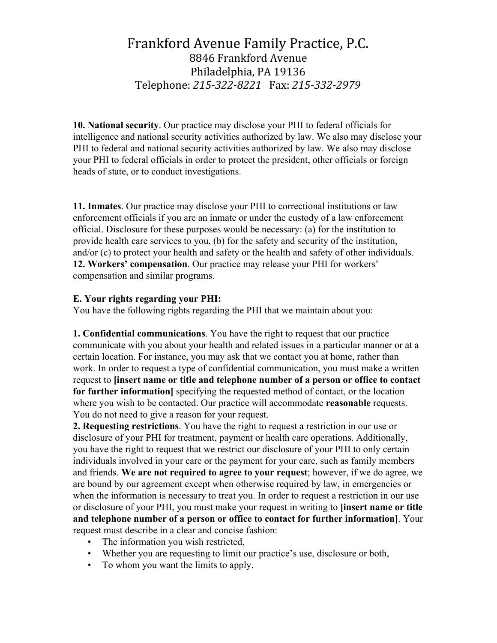**10. National security**. Our practice may disclose your PHI to federal officials for intelligence and national security activities authorized by law. We also may disclose your PHI to federal and national security activities authorized by law. We also may disclose your PHI to federal officials in order to protect the president, other officials or foreign heads of state, or to conduct investigations.

**11. Inmates**. Our practice may disclose your PHI to correctional institutions or law enforcement officials if you are an inmate or under the custody of a law enforcement official. Disclosure for these purposes would be necessary: (a) for the institution to provide health care services to you, (b) for the safety and security of the institution, and/or (c) to protect your health and safety or the health and safety of other individuals. **12. Workers' compensation**. Our practice may release your PHI for workers' compensation and similar programs.

#### **E. Your rights regarding your PHI:**

You have the following rights regarding the PHI that we maintain about you:

**1. Confidential communications**. You have the right to request that our practice communicate with you about your health and related issues in a particular manner or at a certain location. For instance, you may ask that we contact you at home, rather than work. In order to request a type of confidential communication, you must make a written request to **[insert name or title and telephone number of a person or office to contact for further information]**specifying the requested method of contact, or the location where you wish to be contacted. Our practice will accommodate **reasonable**requests. You do not need to give a reason for your request.

**2. Requesting restrictions**. You have the right to request a restriction in our use or disclosure of your PHI for treatment, payment or health care operations. Additionally, you have the right to request that we restrict our disclosure of your PHI to only certain individuals involved in your care or the payment for your care, such as family members and friends. **We arenot required to agree to your request**; however, if we do agree, we are bound by our agreement except when otherwise required by law, in emergencies or when the information is necessary to treat you. In order to request a restriction in our use or disclosure of your PHI, you must make your request in writing to **[insert name or title and telephone number of a person or office to contact for further information]**. Your request must describe in a clear and concise fashion:

- The information you wish restricted,
- Whether you are requesting to limit our practice's use, disclosure or both,
- To whom you want the limits to apply.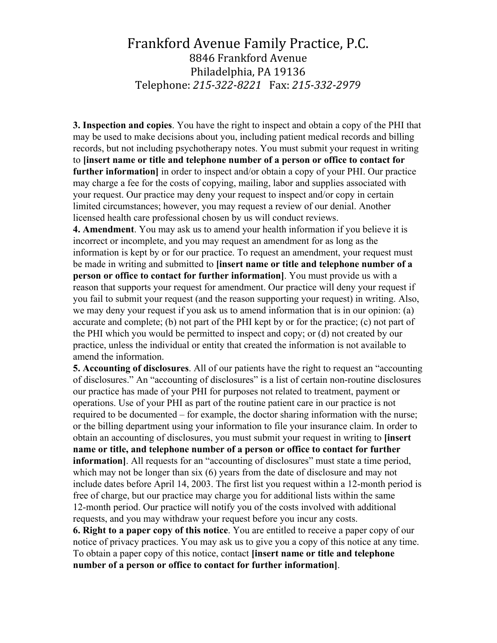**3. Inspection and copies**. You have the right to inspect and obtain a copy of the PHI that may be used to make decisions about you, including patient medical records and billing records, but not including psychotherapy notes. You must submit your request in writing to **[insert name or title and telephone number of a person or office to contact for further information]**in order to inspect and/or obtain a copy of your PHI. Our practice may charge a fee for the costs of copying, mailing, labor and supplies associated with your request. Our practice may deny your request to inspect and/or copy in certain limited circumstances; however, you may request a review of our denial. Another licensed health care professional chosen by us will conduct reviews.

**4. Amendment**. You may ask us to amend your health information if you believe it is incorrect or incomplete, and you may request an amendment for as long as the information is kept by or for our practice. To request an amendment, your request must be made in writing and submitted to **[insert name or title and telephone number of a person or office to contact for further information]**. You must provide us with a reason that supports your request for amendment. Our practice will deny your request if you fail to submit your request (and the reason supporting your request) in writing. Also, we may deny your request if you ask us to amend information that is in our opinion: (a) accurate and complete; (b) not part of the PHI kept by or for the practice; (c) not part of the PHI which you would be permitted to inspect and copy; or (d) not created by our practice, unless the individual or entity that created the information is not available to amend the information.

**5. Accounting of disclosures**. All of our patients have the right to request an "accounting of disclosures." An "accounting of disclosures" is a list of certain non-routine disclosures our practice has made of your PHI for purposes not related to treatment, payment or operations. Use of your PHI as part of the routine patient care in our practice is not required to be documented – for example, the doctor sharing information with the nurse; or the billing department using your information to file your insurance claim. In order to obtain an accounting of disclosures, you must submit your request in writing to **[insert name or title, and telephone number of a person or office to contact for further information**]. All requests for an "accounting of disclosures" must state a time period, which may not be longer than six (6) years from the date of disclosure and may not include dates before April 14, 2003. The first list you request within a 12-month period is free of charge, but our practice may charge you for additional lists within the same 12-month period. Our practice will notify you of the costs involved with additional requests, and you may withdraw your request before you incur any costs.

**6. Right to a paper copy of this notice**. You are entitled to receive a paper copy of our notice of privacy practices. You may ask us to give you a copy of this notice at any time. To obtain a paper copy of this notice, contact **[insert name or title and telephone number of a person or office to contact for further information]**.